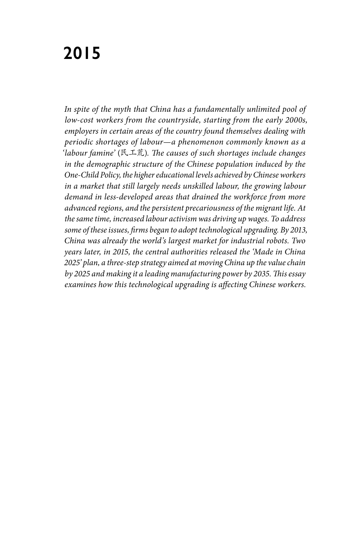# **2015**

*In spite of the myth that China has a fundamentally unlimited pool of low-cost workers from the countryside, starting from the early 2000s, employers in certain areas of the country found themselves dealing with periodic shortages of labour—a phenomenon commonly known as a 'labour famine'* (民工荒)*. The causes of such shortages include changes in the demographic structure of the Chinese population induced by the One-Child Policy, the higher educational levels achieved by Chinese workers in a market that still largely needs unskilled labour, the growing labour demand in less-developed areas that drained the workforce from more advanced regions, and the persistent precariousness of the migrant life. At the same time, increased labour activism was driving up wages. To address some of these issues, firms began to adopt technological upgrading. By 2013, China was already the world's largest market for industrial robots. Two years later, in 2015, the central authorities released the 'Made in China 2025' plan, a three-step strategy aimed at moving China up the value chain by 2025 and making it a leading manufacturing power by 2035. This essay examines how this technological upgrading is affecting Chinese workers.*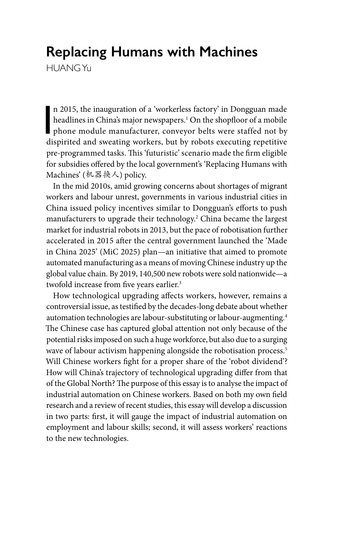# **Replacing Humans with Machines**

HUANG Yu

n 2015, the inauguration of a 'workerless factory' in Dongguan made<br>headlines in China's major newspapers.<sup>1</sup> On the shopfloor of a mobile<br>phone module manufacturer, conveyor belts were staffed not by<br>dispirited and sweeti n 2015, the inauguration of a 'workerless factory' in Dongguan made headlines in China's major newspapers.1 On the shopfloor of a mobile dispirited and sweating workers, but by robots executing repetitive pre-programmed tasks. This 'futuristic' scenario made the firm eligible for subsidies offered by the local government's 'Replacing Humans with Machines' (机器换人) policy.

In the mid 2010s, amid growing concerns about shortages of migrant workers and labour unrest, governments in various industrial cities in China issued policy incentives similar to Dongguan's efforts to push manufacturers to upgrade their technology.2 China became the largest market for industrial robots in 2013, but the pace of robotisation further accelerated in 2015 after the central government launched the 'Made in China 2025' (MiC 2025) plan—an initiative that aimed to promote automated manufacturing as a means of moving Chinese industry up the global value chain. By 2019, 140,500 new robots were sold nationwide—a twofold increase from five years earlier.<sup>3</sup>

How technological upgrading affects workers, however, remains a controversial issue, as testified by the decades-long debate about whether automation technologies are labour-substituting or labour-augmenting.4 The Chinese case has captured global attention not only because of the potential risks imposed on such a huge workforce, but also due to a surging wave of labour activism happening alongside the robotisation process.<sup>5</sup> Will Chinese workers fight for a proper share of the 'robot dividend'? How will China's trajectory of technological upgrading differ from that of the Global North? The purpose of this essay is to analyse the impact of industrial automation on Chinese workers. Based on both my own field research and a review of recent studies, this essay will develop a discussion in two parts: first, it will gauge the impact of industrial automation on employment and labour skills; second, it will assess workers' reactions to the new technologies.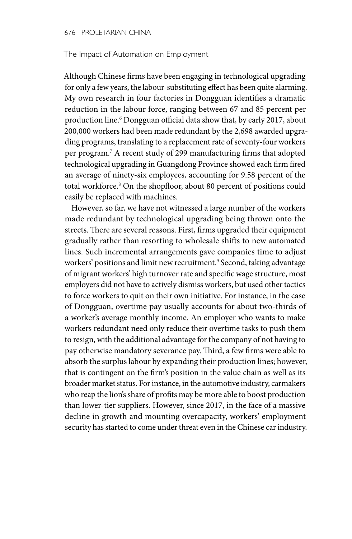#### 676 PROLETARIAN CHINA

### The Impact of Automation on Employment

Although Chinese firms have been engaging in technological upgrading for only a few years, the labour-substituting effect has been quite alarming. My own research in four factories in Dongguan identifies a dramatic reduction in the labour force, ranging between 67 and 85 percent per production line.6 Dongguan official data show that, by early 2017, about 200,000 workers had been made redundant by the 2,698 awarded upgrading programs, translating to a replacement rate of seventy-four workers per program.7 A recent study of 299 manufacturing firms that adopted technological upgrading in Guangdong Province showed each firm fired an average of ninety-six employees, accounting for 9.58 percent of the total workforce.8 On the shopfloor, about 80 percent of positions could easily be replaced with machines.

However, so far, we have not witnessed a large number of the workers made redundant by technological upgrading being thrown onto the streets. There are several reasons. First, firms upgraded their equipment gradually rather than resorting to wholesale shifts to new automated lines. Such incremental arrangements gave companies time to adjust workers' positions and limit new recruitment.<sup>9</sup> Second, taking advantage of migrant workers' high turnover rate and specific wage structure, most employers did not have to actively dismiss workers, but used other tactics to force workers to quit on their own initiative. For instance, in the case of Dongguan, overtime pay usually accounts for about two-thirds of a worker's average monthly income. An employer who wants to make workers redundant need only reduce their overtime tasks to push them to resign, with the additional advantage for the company of not having to pay otherwise mandatory severance pay. Third, a few firms were able to absorb the surplus labour by expanding their production lines; however, that is contingent on the firm's position in the value chain as well as its broader market status. For instance, in the automotive industry, carmakers who reap the lion's share of profits may be more able to boost production than lower-tier suppliers. However, since 2017, in the face of a massive decline in growth and mounting overcapacity, workers' employment security has started to come under threat even in the Chinese car industry.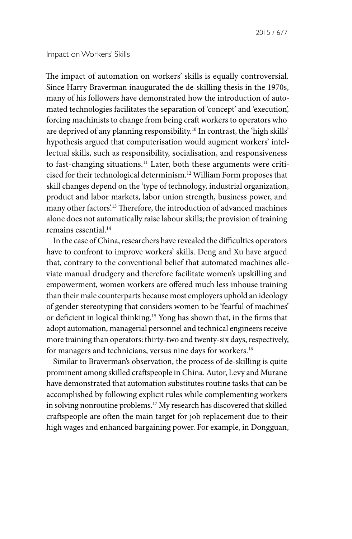The impact of automation on workers' skills is equally controversial. Since Harry Braverman inaugurated the de-skilling thesis in the 1970s, many of his followers have demonstrated how the introduction of automated technologies facilitates the separation of 'concept' and 'execution', forcing machinists to change from being craft workers to operators who are deprived of any planning responsibility.<sup>10</sup> In contrast, the 'high skills' hypothesis argued that computerisation would augment workers' intellectual skills, such as responsibility, socialisation, and responsiveness to fast-changing situations.<sup>11</sup> Later, both these arguments were criticised for their technological determinism.12 William Form proposes that skill changes depend on the 'type of technology, industrial organization, product and labor markets, labor union strength, business power, and many other factors'.13 Therefore, the introduction of advanced machines alone does not automatically raise labour skills; the provision of training remains essential.14

In the case of China, researchers have revealed the difficulties operators have to confront to improve workers' skills. Deng and Xu have argued that, contrary to the conventional belief that automated machines alleviate manual drudgery and therefore facilitate women's upskilling and empowerment, women workers are offered much less inhouse training than their male counterparts because most employers uphold an ideology of gender stereotyping that considers women to be 'fearful of machines' or deficient in logical thinking.15 Yong has shown that, in the firms that adopt automation, managerial personnel and technical engineers receive more training than operators: thirty-two and twenty-six days, respectively, for managers and technicians, versus nine days for workers.<sup>16</sup>

Similar to Braverman's observation, the process of de-skilling is quite prominent among skilled craftspeople in China. Autor, Levy and Murane have demonstrated that automation substitutes routine tasks that can be accomplished by following explicit rules while complementing workers in solving nonroutine problems.<sup>17</sup> My research has discovered that skilled craftspeople are often the main target for job replacement due to their high wages and enhanced bargaining power. For example, in Dongguan,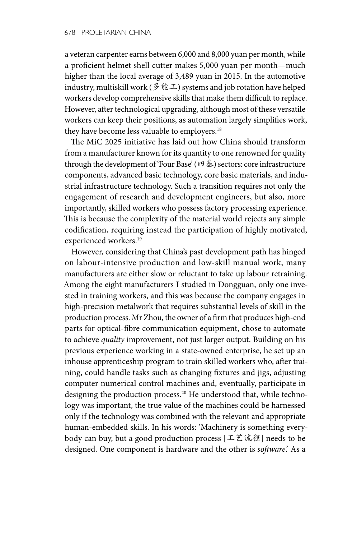a veteran carpenter earns between 6,000 and 8,000 yuan per month, while a proficient helmet shell cutter makes 5,000 yuan per month—much higher than the local average of 3,489 yuan in 2015. In the automotive industry, multiskill work (多能工) systems and job rotation have helped workers develop comprehensive skills that make them difficult to replace. However, after technological upgrading, although most of these versatile workers can keep their positions, as automation largely simplifies work, they have become less valuable to employers.<sup>18</sup>

The MiC 2025 initiative has laid out how China should transform from a manufacturer known for its quantity to one renowned for quality through the development of 'Four Base' (四基) sectors: core infrastructure components, advanced basic technology, core basic materials, and industrial infrastructure technology. Such a transition requires not only the engagement of research and development engineers, but also, more importantly, skilled workers who possess factory processing experience. This is because the complexity of the material world rejects any simple codification, requiring instead the participation of highly motivated, experienced workers.<sup>19</sup>

However, considering that China's past development path has hinged on labour-intensive production and low-skill manual work, many manufacturers are either slow or reluctant to take up labour retraining. Among the eight manufacturers I studied in Dongguan, only one invested in training workers, and this was because the company engages in high-precision metalwork that requires substantial levels of skill in the production process. Mr Zhou, the owner of a firm that produces high-end parts for optical-fibre communication equipment, chose to automate to achieve *quality* improvement, not just larger output. Building on his previous experience working in a state-owned enterprise, he set up an inhouse apprenticeship program to train skilled workers who, after training, could handle tasks such as changing fixtures and jigs, adjusting computer numerical control machines and, eventually, participate in designing the production process.<sup>20</sup> He understood that, while technology was important, the true value of the machines could be harnessed only if the technology was combined with the relevant and appropriate human-embedded skills. In his words: 'Machinery is something everybody can buy, but a good production process [工艺流程] needs to be designed. One component is hardware and the other is *software*.' As a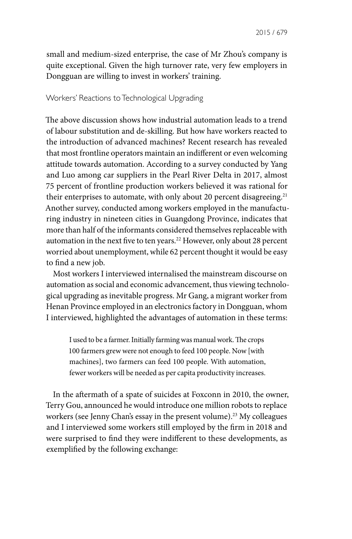small and medium-sized enterprise, the case of Mr Zhou's company is quite exceptional. Given the high turnover rate, very few employers in Dongguan are willing to invest in workers' training.

# Workers' Reactions to Technological Upgrading

The above discussion shows how industrial automation leads to a trend of labour substitution and de-skilling. But how have workers reacted to the introduction of advanced machines? Recent research has revealed that most frontline operators maintain an indifferent or even welcoming attitude towards automation. According to a survey conducted by Yang and Luo among car suppliers in the Pearl River Delta in 2017, almost 75 percent of frontline production workers believed it was rational for their enterprises to automate, with only about 20 percent disagreeing.<sup>21</sup> Another survey, conducted among workers employed in the manufacturing industry in nineteen cities in Guangdong Province, indicates that more than half of the informants considered themselves replaceable with automation in the next five to ten years.<sup>22</sup> However, only about 28 percent worried about unemployment, while 62 percent thought it would be easy to find a new job.

Most workers I interviewed internalised the mainstream discourse on automation as social and economic advancement, thus viewing technological upgrading as inevitable progress. Mr Gang, a migrant worker from Henan Province employed in an electronics factory in Dongguan, whom I interviewed, highlighted the advantages of automation in these terms:

I used to be a farmer. Initially farming was manual work. The crops 100 farmers grew were not enough to feed 100 people. Now [with machines], two farmers can feed 100 people. With automation, fewer workers will be needed as per capita productivity increases.

In the aftermath of a spate of suicides at Foxconn in 2010, the owner, Terry Gou, announced he would introduce one million robots to replace workers (see Jenny Chan's essay in the present volume).<sup>23</sup> My colleagues and I interviewed some workers still employed by the firm in 2018 and were surprised to find they were indifferent to these developments, as exemplified by the following exchange: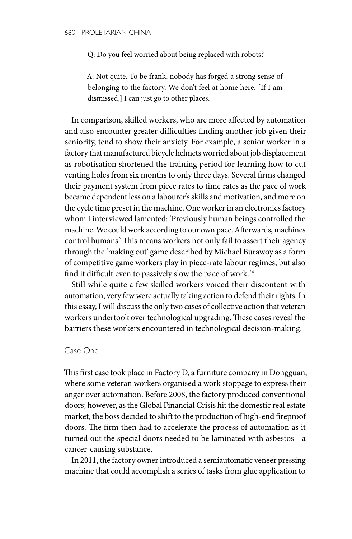Q: Do you feel worried about being replaced with robots?

A: Not quite. To be frank, nobody has forged a strong sense of belonging to the factory. We don't feel at home here. [If I am dismissed,] I can just go to other places.

In comparison, skilled workers, who are more affected by automation and also encounter greater difficulties finding another job given their seniority, tend to show their anxiety. For example, a senior worker in a factory that manufactured bicycle helmets worried about job displacement as robotisation shortened the training period for learning how to cut venting holes from six months to only three days. Several firms changed their payment system from piece rates to time rates as the pace of work became dependent less on a labourer's skills and motivation, and more on the cycle time preset in the machine. One worker in an electronics factory whom I interviewed lamented: 'Previously human beings controlled the machine. We could work according to our own pace. Afterwards, machines control humans.' This means workers not only fail to assert their agency through the 'making out' game described by Michael Burawoy as a form of competitive game workers play in piece-rate labour regimes, but also find it difficult even to passively slow the pace of work.<sup>24</sup>

Still while quite a few skilled workers voiced their discontent with automation, very few were actually taking action to defend their rights. In this essay, I will discuss the only two cases of collective action that veteran workers undertook over technological upgrading. These cases reveal the barriers these workers encountered in technological decision-making.

# Case One

This first case took place in Factory D, a furniture company in Dongguan, where some veteran workers organised a work stoppage to express their anger over automation. Before 2008, the factory produced conventional doors; however, as the Global Financial Crisis hit the domestic real estate market, the boss decided to shift to the production of high-end fireproof doors. The firm then had to accelerate the process of automation as it turned out the special doors needed to be laminated with asbestos—a cancer-causing substance.

In 2011, the factory owner introduced a semiautomatic veneer pressing machine that could accomplish a series of tasks from glue application to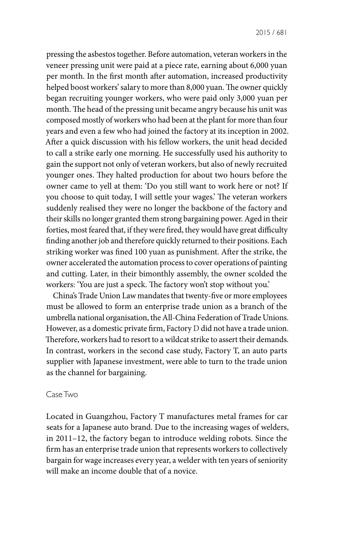pressing the asbestos together. Before automation, veteran workers in the veneer pressing unit were paid at a piece rate, earning about 6,000 yuan per month. In the first month after automation, increased productivity helped boost workers' salary to more than 8,000 yuan. The owner quickly began recruiting younger workers, who were paid only 3,000 yuan per month. The head of the pressing unit became angry because his unit was composed mostly of workers who had been at the plant for more than four years and even a few who had joined the factory at its inception in 2002. After a quick discussion with his fellow workers, the unit head decided to call a strike early one morning. He successfully used his authority to gain the support not only of veteran workers, but also of newly recruited younger ones. They halted production for about two hours before the owner came to yell at them: 'Do you still want to work here or not? If you choose to quit today, I will settle your wages.' The veteran workers suddenly realised they were no longer the backbone of the factory and their skills no longer granted them strong bargaining power. Aged in their forties, most feared that, if they were fired, they would have great difficulty finding another job and therefore quickly returned to their positions. Each striking worker was fined 100 yuan as punishment. After the strike, the owner accelerated the automation process to cover operations of painting and cutting. Later, in their bimonthly assembly, the owner scolded the workers: 'You are just a speck. The factory won't stop without you.'

China's Trade Union Law mandates that twenty-five or more employees must be allowed to form an enterprise trade union as a branch of the umbrella national organisation, the All-China Federation of Trade Unions. However, as a domestic private firm, Factory D did not have a trade union. Therefore, workers had to resort to a wildcat strike to assert their demands. In contrast, workers in the second case study, Factory T, an auto parts supplier with Japanese investment, were able to turn to the trade union as the channel for bargaining.

#### Case Two

Located in Guangzhou, Factory T manufactures metal frames for car seats for a Japanese auto brand. Due to the increasing wages of welders, in 2011–12, the factory began to introduce welding robots. Since the firm has an enterprise trade union that represents workers to collectively bargain for wage increases every year, a welder with ten years of seniority will make an income double that of a novice.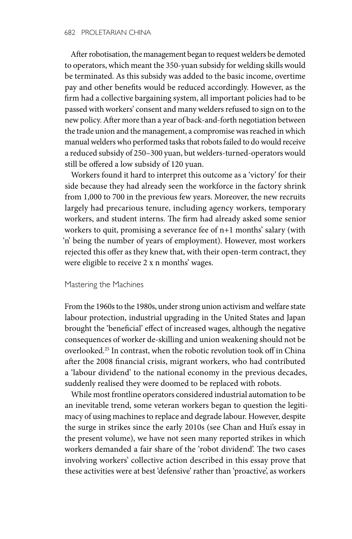After robotisation, the management began to request welders be demoted to operators, which meant the 350-yuan subsidy for welding skills would be terminated. As this subsidy was added to the basic income, overtime pay and other benefits would be reduced accordingly. However, as the firm had a collective bargaining system, all important policies had to be passed with workers' consent and many welders refused to sign on to the new policy. After more than a year of back-and-forth negotiation between the trade union and the management, a compromise was reached in which manual welders who performed tasks that robots failed to do would receive a reduced subsidy of 250–300 yuan, but welders-turned-operators would still be offered a low subsidy of 120 yuan.

Workers found it hard to interpret this outcome as a 'victory' for their side because they had already seen the workforce in the factory shrink from 1,000 to 700 in the previous few years. Moreover, the new recruits largely had precarious tenure, including agency workers, temporary workers, and student interns. The firm had already asked some senior workers to quit, promising a severance fee of n+1 months' salary (with 'n' being the number of years of employment). However, most workers rejected this offer as they knew that, with their open-term contract, they were eligible to receive 2 x n months' wages.

#### Mastering the Machines

From the 1960s to the 1980s, under strong union activism and welfare state labour protection, industrial upgrading in the United States and Japan brought the 'beneficial' effect of increased wages, although the negative consequences of worker de-skilling and union weakening should not be overlooked.25 In contrast, when the robotic revolution took off in China after the 2008 financial crisis, migrant workers, who had contributed a 'labour dividend' to the national economy in the previous decades, suddenly realised they were doomed to be replaced with robots.

While most frontline operators considered industrial automation to be an inevitable trend, some veteran workers began to question the legitimacy of using machines to replace and degrade labour. However, despite the surge in strikes since the early 2010s (see Chan and Hui's essay in the present volume), we have not seen many reported strikes in which workers demanded a fair share of the 'robot dividend'. The two cases involving workers' collective action described in this essay prove that these activities were at best 'defensive' rather than 'proactive', as workers